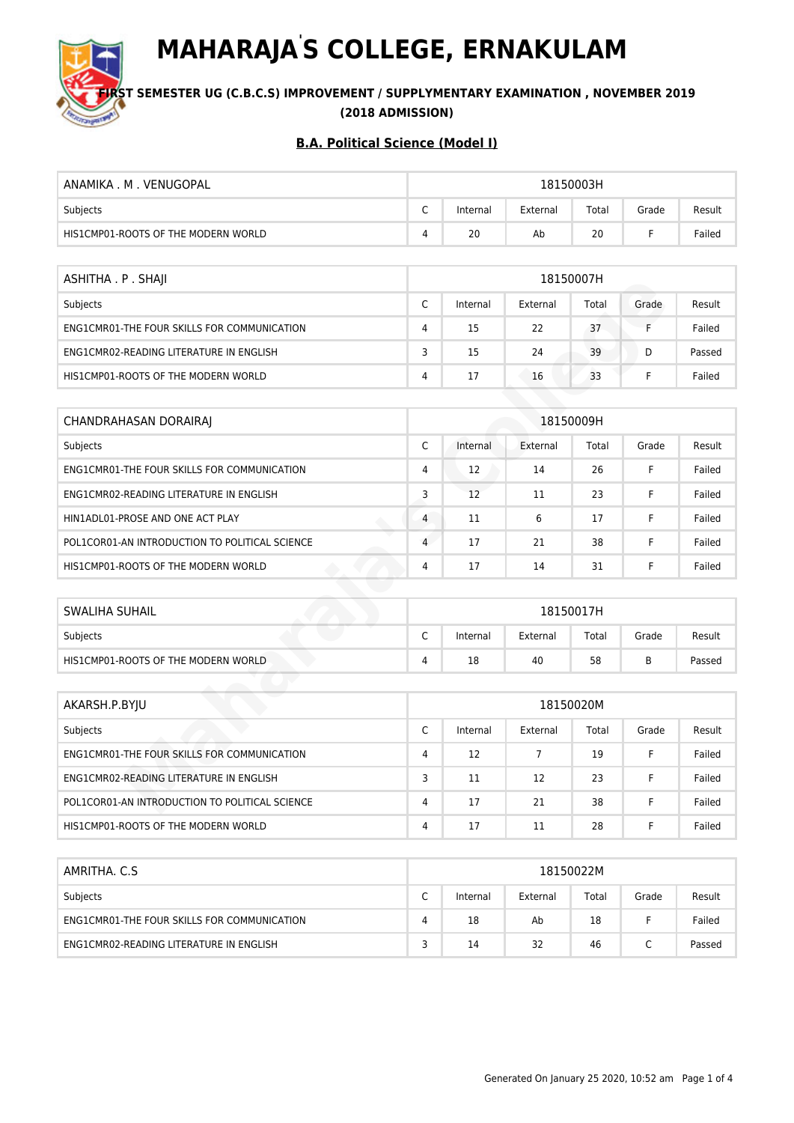

**MAHARAJA' S COLLEGE, ERNAKULAM**

**S**T SEMESTER UG (C.B.C.S) IMPROVEMENT / SUPPLYMENTARY EXAMINATION , NOVEMBER 2019 **(2018 ADMISSION)**

| ANAMIKA M VENUGOPAL                 | 18150003H                                        |    |    |    |  |        |  |  |
|-------------------------------------|--------------------------------------------------|----|----|----|--|--------|--|--|
| Subjects                            | Total<br>⌒<br>External<br>Grade<br>Internal<br>◡ |    |    |    |  | Result |  |  |
| HIS1CMP01-ROOTS OF THE MODERN WORLD | 4                                                | 20 | Ab | 20 |  | Failed |  |  |

| ASHITHA . P . SHAJI                         | 18150007H |          |          |       |       |        |  |  |
|---------------------------------------------|-----------|----------|----------|-------|-------|--------|--|--|
| Subjects                                    | r<br>◡    | Internal | External | Total | Grade | Result |  |  |
| ENG1CMR01-THE FOUR SKILLS FOR COMMUNICATION | 4         | 15       | 22       | 37    |       | Failed |  |  |
| ENG1CMR02-READING LITERATURE IN ENGLISH     | 3         | 15       | 24       | 39    | D     | Passed |  |  |
| HIS1CMP01-ROOTS OF THE MODERN WORLD         | 4         | 17       | 16       | 33    |       | Failed |  |  |

| ASHIIHA. P. SHAJI                              | 18120007H      |          |                |           |       |        |  |  |  |  |
|------------------------------------------------|----------------|----------|----------------|-----------|-------|--------|--|--|--|--|
| Subjects                                       | C              | Internal | External       | Total     | Grade | Result |  |  |  |  |
| ENG1CMR01-THE FOUR SKILLS FOR COMMUNICATION    | 4              | 15       | 22             | 37        | F     | Failed |  |  |  |  |
| ENG1CMR02-READING LITERATURE IN ENGLISH        | 3              | 15       | 24             | 39        | D     | Passed |  |  |  |  |
| HIS1CMP01-ROOTS OF THE MODERN WORLD            | 4              | 17       | 16             | 33        | F.    | Failed |  |  |  |  |
|                                                |                |          |                |           |       |        |  |  |  |  |
| <b>CHANDRAHASAN DORAIRAJ</b>                   |                |          |                | 18150009H |       |        |  |  |  |  |
| Subjects                                       | C              | Internal | External       | Total     | Grade | Result |  |  |  |  |
| ENG1CMR01-THE FOUR SKILLS FOR COMMUNICATION    | $\overline{4}$ | 12       | 14             | 26        | F     | Failed |  |  |  |  |
| ENG1CMR02-READING LITERATURE IN ENGLISH        | 3              | 12       | 11             | 23        | F     | Failed |  |  |  |  |
| HIN1ADL01-PROSE AND ONE ACT PLAY               | $\overline{4}$ | 11       | 6              | 17        | F     | Failed |  |  |  |  |
| POL1COR01-AN INTRODUCTION TO POLITICAL SCIENCE | 4              | 17       | 21             | 38        | F     | Failed |  |  |  |  |
| HIS1CMP01-ROOTS OF THE MODERN WORLD            | 4              | 17       | 14             | 31        | F     | Failed |  |  |  |  |
|                                                |                |          |                |           |       |        |  |  |  |  |
| <b>SWALIHA SUHAIL</b>                          |                |          |                | 18150017H |       |        |  |  |  |  |
| Subjects                                       | C              | Internal | External       | Total     | Grade | Result |  |  |  |  |
| HIS1CMP01-ROOTS OF THE MODERN WORLD            | 4              | 18       | 40             | 58        | B     | Passed |  |  |  |  |
|                                                |                |          |                |           |       |        |  |  |  |  |
| AKARSH.P.BYJU                                  |                |          |                | 18150020M |       |        |  |  |  |  |
| Subjects                                       | C              | Internal | External       | Total     | Grade | Result |  |  |  |  |
| ENG1CMR01-THE FOUR SKILLS FOR COMMUNICATION    | $\overline{4}$ | 12       | $\overline{7}$ | 19        | F     | Failed |  |  |  |  |
| ENG1CMR02-READING LITERATURE IN ENGLISH        | 3              | 11       | 12             | 23        | F     | Failed |  |  |  |  |
| POL1COR01-AN INTRODUCTION TO POLITICAL SCIENCE | 4              | 17       | 21             | 38        | F     | Failed |  |  |  |  |

| SWALIHA SUHAIL                      | 18150017H                     |          |          |       |       |        |
|-------------------------------------|-------------------------------|----------|----------|-------|-------|--------|
| Subjects                            | $\overline{\phantom{0}}$<br>╰ | Internal | External | Total | Grade | Result |
| HIS1CMP01-ROOTS OF THE MODERN WORLD | 4                             | 18       | 40       | 58    |       | Passed |

| AKARSH.P.BYJU                                  | 18150020M |          |          |       |       |        |  |
|------------------------------------------------|-----------|----------|----------|-------|-------|--------|--|
| Subjects                                       | C         | Internal | External | Total | Grade | Result |  |
| ENG1CMR01-THE FOUR SKILLS FOR COMMUNICATION    | 4         | 12       |          | 19    |       | Failed |  |
| ENG1CMR02-READING LITERATURE IN ENGLISH        | 3         | 11       | 12       | 23    |       | Failed |  |
| POL1COR01-AN INTRODUCTION TO POLITICAL SCIENCE | 4         | 17       | 21       | 38    |       | Failed |  |
| HIS1CMP01-ROOTS OF THE MODERN WORLD            | 4         | 17       | 11       | 28    |       | Failed |  |

| AMRITHA, C.S.                               | 18150022M |          |          |       |       |        |  |  |
|---------------------------------------------|-----------|----------|----------|-------|-------|--------|--|--|
| Subjects                                    | ∽<br>◡    | Internal | External | Total | Grade | Result |  |  |
| ENG1CMR01-THE FOUR SKILLS FOR COMMUNICATION | 4         | 18       | Ab       | 18    |       | Failed |  |  |
| ENG1CMR02-READING LITERATURE IN ENGLISH     |           | 14       | 32       | 46    |       | Passed |  |  |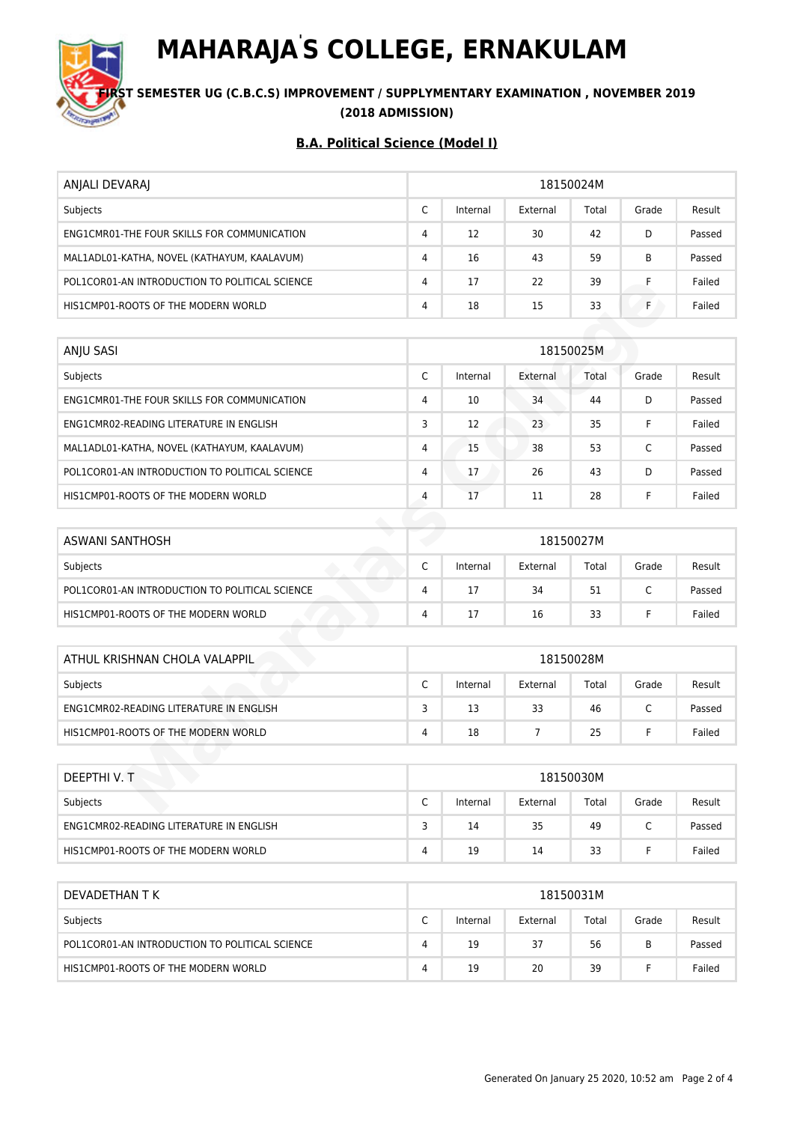# **MAHARAJA' S COLLEGE, ERNAKULAM**



## **S**T SEMESTER UG (C.B.C.S) IMPROVEMENT / SUPPLYMENTARY EXAMINATION , NOVEMBER 2019 **(2018 ADMISSION)**

| ANJALI DEVARAJ                                 | 18150024M       |          |          |       |       |        |  |  |
|------------------------------------------------|-----------------|----------|----------|-------|-------|--------|--|--|
| Subjects                                       | $\sqrt{2}$<br>J | Internal | External | Total | Grade | Result |  |  |
| ENG1CMR01-THE FOUR SKILLS FOR COMMUNICATION    | 4               | 12       | 30       | 42    | D     | Passed |  |  |
| MAL1ADL01-KATHA, NOVEL (KATHAYUM, KAALAVUM)    | 4               | 16       | 43       | 59    | B     | Passed |  |  |
| POL1COR01-AN INTRODUCTION TO POLITICAL SCIENCE | 4               | 17       | 22       | 39    |       | Failed |  |  |
| HIS1CMP01-ROOTS OF THE MODERN WORLD            | 4               | 18       | 15       | 33    |       | Failed |  |  |

| POL1COR01-AN INTRODUCTION TO POLITICAL SCIENCE | 4              | 17       | 22             | 39        | F            | Failed |  |  |  |
|------------------------------------------------|----------------|----------|----------------|-----------|--------------|--------|--|--|--|
| HIS1CMP01-ROOTS OF THE MODERN WORLD            | $\overline{4}$ | 18       | 15             | 33        | F.           | Failed |  |  |  |
|                                                |                |          |                |           |              |        |  |  |  |
| ANJU SASI                                      | 18150025M      |          |                |           |              |        |  |  |  |
| Subjects                                       | C              | Internal | External       | Total     | Grade        | Result |  |  |  |
| ENG1CMR01-THE FOUR SKILLS FOR COMMUNICATION    | $\overline{4}$ | 10       | 34             | 44        | D            | Passed |  |  |  |
| ENG1CMR02-READING LITERATURE IN ENGLISH        | 3              | 12       | 23             | 35        | F.           | Failed |  |  |  |
| MAL1ADL01-KATHA, NOVEL (KATHAYUM, KAALAVUM)    | $\overline{4}$ | 15       | 38             | 53        | $\mathsf{C}$ | Passed |  |  |  |
| POL1COR01-AN INTRODUCTION TO POLITICAL SCIENCE | 4              | 17       | 26             | 43        | D            | Passed |  |  |  |
| HIS1CMP01-ROOTS OF THE MODERN WORLD            | $\overline{4}$ | 17       | 11             | 28        | F            | Failed |  |  |  |
|                                                |                |          |                |           |              |        |  |  |  |
| <b>ASWANI SANTHOSH</b>                         |                |          |                | 18150027M |              |        |  |  |  |
| Subjects                                       | C              | Internal | External       | Total     | Grade        | Result |  |  |  |
| POL1COR01-AN INTRODUCTION TO POLITICAL SCIENCE | $\overline{4}$ | 17       | 34             | 51        | $\mathsf{C}$ | Passed |  |  |  |
| HIS1CMP01-ROOTS OF THE MODERN WORLD            | $\overline{4}$ | 17       | 16             | 33        | F            | Failed |  |  |  |
|                                                |                |          |                |           |              |        |  |  |  |
| ATHUL KRISHNAN CHOLA VALAPPIL                  |                |          |                | 18150028M |              |        |  |  |  |
| Subjects                                       | C              | Internal | External       | Total     | Grade        | Result |  |  |  |
| ENG1CMR02-READING LITERATURE IN ENGLISH        | 3              | 13       | 33             | 46        | $\mathsf{C}$ | Passed |  |  |  |
| HIS1CMP01-ROOTS OF THE MODERN WORLD            | $\overline{4}$ | 18       | $\overline{7}$ | 25        | F.           | Failed |  |  |  |
|                                                |                |          |                |           |              |        |  |  |  |
| DEEPTHI V. T                                   |                |          |                | 18150030M |              |        |  |  |  |
| Subjects                                       | C              | Internal | External       | Total     | Grade        | Result |  |  |  |

| ASWANI SANTHOSH                                | 18150027M |          |          |       |       |        |
|------------------------------------------------|-----------|----------|----------|-------|-------|--------|
| Subjects                                       |           | Internal | External | Total | Grade | Result |
| POL1COR01-AN INTRODUCTION TO POLITICAL SCIENCE | 4         |          | 34       | 51    |       | Passed |
| HIS1CMP01-ROOTS OF THE MODERN WORLD            | 4         | 17       | 16       | 33    |       | Failed |

| ATHUL KRISHNAN CHOLA VALAPPIL           | 18150028M |          |          |       |       |        |  |  |
|-----------------------------------------|-----------|----------|----------|-------|-------|--------|--|--|
| Subjects                                | ◡         | Internal | External | Total | Grade | Result |  |  |
| ENG1CMR02-READING LITERATURE IN ENGLISH |           | 13       | 33       | 46    |       | Passed |  |  |
| HIS1CMP01-ROOTS OF THE MODERN WORLD     | 4         | 18       |          | 25    |       | Failed |  |  |

| DEEPTHIV.T                              | 18150030M |          |          |       |       |        |  |  |
|-----------------------------------------|-----------|----------|----------|-------|-------|--------|--|--|
| Subjects                                | ◡         | Internal | External | Total | Grade | Result |  |  |
| ENG1CMR02-READING LITERATURE IN ENGLISH |           | 14       | 35       | 49    |       | Passed |  |  |
| HIS1CMP01-ROOTS OF THE MODERN WORLD     | 4         | 19       | 14       | 33    |       | Failed |  |  |

| DEVADETHAN T K                                 | 18150031M       |          |          |       |       |        |  |  |
|------------------------------------------------|-----------------|----------|----------|-------|-------|--------|--|--|
| Subjects                                       | $\sqrt{2}$<br>◡ | Internal | External | Total | Grade | Result |  |  |
| POL1COR01-AN INTRODUCTION TO POLITICAL SCIENCE | 4               | 19       | 37       | 56    | В     | Passed |  |  |
| HIS1CMP01-ROOTS OF THE MODERN WORLD            | 4               | 19       | 20       | 39    |       | Failed |  |  |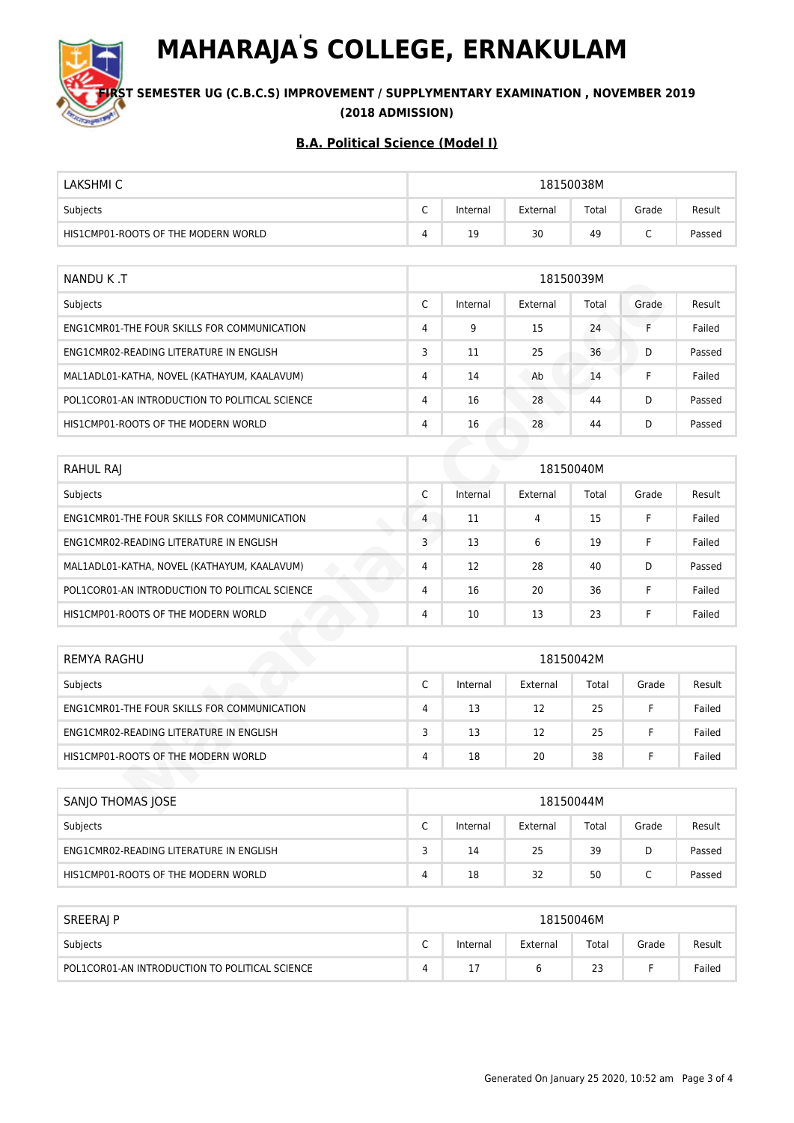

**MAHARAJA' S COLLEGE, ERNAKULAM**

**S**T SEMESTER UG (C.B.C.S) IMPROVEMENT / SUPPLYMENTARY EXAMINATION , NOVEMBER 2019 **(2018 ADMISSION)**

| LAKSHMI C                           | 18150038M |          |          |       |       |        |
|-------------------------------------|-----------|----------|----------|-------|-------|--------|
| Subjects                            | ⌒<br>◡    | Internal | External | Total | Grade | Result |
| HIS1CMP01-ROOTS OF THE MODERN WORLD |           | 19       | 30       | 49    | ֊     | Passed |

| NANDU K.T                                      | 18150039M      |          |          |       |       |        |  |
|------------------------------------------------|----------------|----------|----------|-------|-------|--------|--|
| Subjects                                       | C              | Internal | External | Total | Grade | Result |  |
| ENG1CMR01-THE FOUR SKILLS FOR COMMUNICATION    | $\overline{4}$ | 9        | 15       | 24    | Е     | Failed |  |
| ENG1CMR02-READING LITERATURE IN ENGLISH        | 3              | 11       | 25       | 36    | D     | Passed |  |
| MAL1ADL01-KATHA, NOVEL (KATHAYUM, KAALAVUM)    | 4              | 14       | Ab       | 14    |       | Failed |  |
| POL1COR01-AN INTRODUCTION TO POLITICAL SCIENCE | $\overline{4}$ | 16       | 28       | 44    | D     | Passed |  |
| HIS1CMP01-ROOTS OF THE MODERN WORLD            | $\overline{4}$ | 16       | 28       | 44    | D     | Passed |  |

| NANDU K.I                                      | <b>TRT2003AM</b> |          |          |           |       |        |  |
|------------------------------------------------|------------------|----------|----------|-----------|-------|--------|--|
| Subjects                                       | C                | Internal | External | Total     | Grade | Result |  |
| ENG1CMR01-THE FOUR SKILLS FOR COMMUNICATION    | 4                | 9        | 15       | 24        | F     | Failed |  |
| ENG1CMR02-READING LITERATURE IN ENGLISH        | 3                | 11       | 25       | 36        | D     | Passed |  |
| MAL1ADL01-KATHA, NOVEL (KATHAYUM, KAALAVUM)    | 4                | 14       | Ab       | 14        | F.    | Failed |  |
| POL1COR01-AN INTRODUCTION TO POLITICAL SCIENCE | $\overline{4}$   | 16       | 28       | 44        | D     | Passed |  |
| HIS1CMP01-ROOTS OF THE MODERN WORLD            | $\overline{4}$   | 16       | 28       | 44        | D     | Passed |  |
|                                                |                  |          |          |           |       |        |  |
| RAHUL RAJ                                      |                  |          |          | 18150040M |       |        |  |
| Subjects                                       | C                | Internal | External | Total     | Grade | Result |  |
| ENG1CMR01-THE FOUR SKILLS FOR COMMUNICATION    | 4                | 11       | 4        | 15        | F.    | Failed |  |
| ENG1CMR02-READING LITERATURE IN ENGLISH        | 3                | 13       | 6        | 19        | F.    | Failed |  |
| MAL1ADL01-KATHA, NOVEL (KATHAYUM, KAALAVUM)    | $\overline{4}$   | 12       | 28       | 40        | D     | Passed |  |
| POL1COR01-AN INTRODUCTION TO POLITICAL SCIENCE | $\overline{4}$   | 16       | 20       | 36        | F     | Failed |  |
| HIS1CMP01-ROOTS OF THE MODERN WORLD            | $\overline{4}$   | 10       | 13       | 23        | F.    | Failed |  |
|                                                |                  |          |          |           |       |        |  |
| <b>REMYA RAGHU</b>                             |                  |          |          | 18150042M |       |        |  |
| Subjects                                       | C                | Internal | External | Total     | Grade | Result |  |
| ENG1CMR01-THE FOUR SKILLS FOR COMMUNICATION    | $\overline{4}$   | 13       | 12       | 25        | F     | Failed |  |
| ENG1CMR02-READING LITERATURE IN ENGLISH        | 3                | 13       | 12       | 25        | F     | Failed |  |
| HIS1CMP01-ROOTS OF THE MODERN WORLD            | 4                | 18       | 20       | 38        | F     | Failed |  |
|                                                |                  |          |          |           |       |        |  |
| <b>SANJO THOMAS JOSE</b>                       |                  |          |          | 18150044M |       |        |  |

| REMYA RAGHU                                 | 18150042M       |          |          |       |       |        |
|---------------------------------------------|-----------------|----------|----------|-------|-------|--------|
| Subjects                                    | $\sqrt{2}$<br>◡ | Internal | External | Total | Grade | Result |
| ENG1CMR01-THE FOUR SKILLS FOR COMMUNICATION | 4               | 13       | 12       | 25    |       | Failed |
| ENG1CMR02-READING LITERATURE IN ENGLISH     |                 | 13       | 12       | 25    |       | Failed |
| HIS1CMP01-ROOTS OF THE MODERN WORLD         | 4               | 18       | 20       | 38    |       | Failed |

| SANJO THOMAS JOSE                       | 18150044M |          |          |       |       |        |  |
|-----------------------------------------|-----------|----------|----------|-------|-------|--------|--|
| Subjects                                | ⌒<br>◡    | Internal | External | Total | Grade | Result |  |
| ENG1CMR02-READING LITERATURE IN ENGLISH | -         | 14       | 25       | 39    | D     | Passed |  |
| HIS1CMP01-ROOTS OF THE MODERN WORLD     | 4         | 18       | 32       | 50    | ֊     | Passed |  |

| SREERAJ P                                      | 18150046M |          |          |       |       |        |  |
|------------------------------------------------|-----------|----------|----------|-------|-------|--------|--|
| Subjects                                       | ∽<br>֊    | Internal | External | Total | Grade | Result |  |
| POL1COR01-AN INTRODUCTION TO POLITICAL SCIENCE |           |          |          | 23    |       | Failed |  |